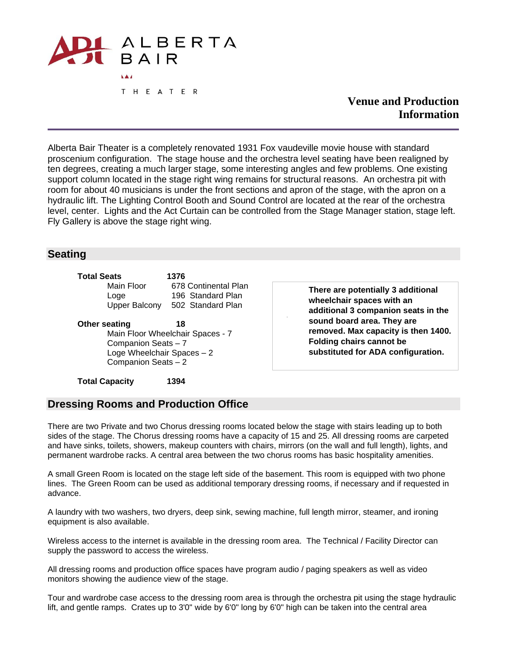

**Venue and Production Information**

Alberta Bair Theater is a completely renovated 1931 Fox vaudeville movie house with standard proscenium configuration. The stage house and the orchestra level seating have been realigned by ten degrees, creating a much larger stage, some interesting angles and few problems. One existing support column located in the stage right wing remains for structural reasons. An orchestra pit with room for about 40 musicians is under the front sections and apron of the stage, with the apron on a hydraulic lift. The Lighting Control Booth and Sound Control are located at the rear of the orchestra level, center. Lights and the Act Curtain can be controlled from the Stage Manager station, stage left. Fly Gallery is above the stage right wing.

.

#### **Seating**

| Total Seats   | 1376                 |
|---------------|----------------------|
| Main Floor    | 678 Continental Plan |
| Loge          | 196 Standard Plan    |
| Upper Balcony | 502 Standard Plan    |
|               |                      |

**Other seating 18** Main Floor Wheelchair Spaces - 7 Companion Seats – 7 Loge Wheelchair Spaces – 2 Companion Seats – 2

**There are potentially 3 additional wheelchair spaces with an additional 3 companion seats in the sound board area. They are removed. Max capacity is then 1400. Folding chairs cannot be substituted for ADA configuration.**

**Total Capacity 1394**

#### **Dressing Rooms and Production Office**

There are two Private and two Chorus dressing rooms located below the stage with stairs leading up to both sides of the stage. The Chorus dressing rooms have a capacity of 15 and 25. All dressing rooms are carpeted and have sinks, toilets, showers, makeup counters with chairs, mirrors (on the wall and full length), lights, and permanent wardrobe racks. A central area between the two chorus rooms has basic hospitality amenities.

A small Green Room is located on the stage left side of the basement. This room is equipped with two phone lines. The Green Room can be used as additional temporary dressing rooms, if necessary and if requested in advance.

A laundry with two washers, two dryers, deep sink, sewing machine, full length mirror, steamer, and ironing equipment is also available.

Wireless access to the internet is available in the dressing room area. The Technical / Facility Director can supply the password to access the wireless.

All dressing rooms and production office spaces have program audio / paging speakers as well as video monitors showing the audience view of the stage.

Tour and wardrobe case access to the dressing room area is through the orchestra pit using the stage hydraulic lift, and gentle ramps. Crates up to 3'0" wide by 6'0" long by 6'0" high can be taken into the central area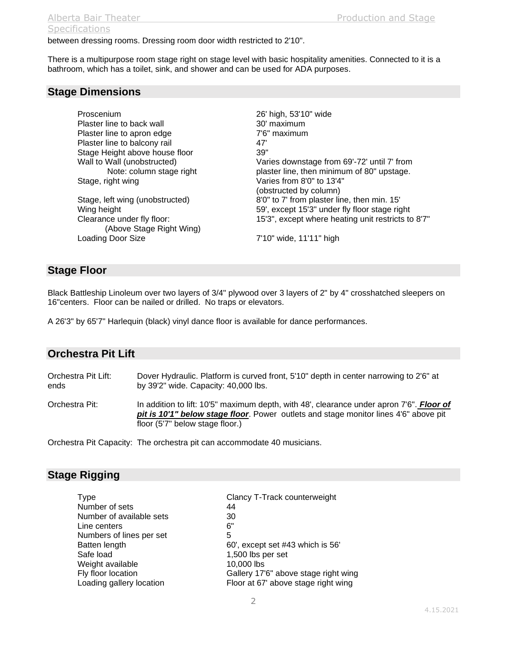# **Specifications**

between dressing rooms. Dressing room door width restricted to 2'10".

There is a multipurpose room stage right on stage level with basic hospitality amenities. Connected to it is a bathroom, which has a toilet, sink, and shower and can be used for ADA purposes.

#### **Stage Dimensions**

Proscenium 26' high, 53'10" wide Plaster line to back wall 30' maximum Plaster line to apron edge 7'6" maximum Plaster line to balcony rail example and the details of the details of the details of the details of the Paris<br>
Aggregate Space Space Space floor and the control of the Space Space Space Space Space Space Space Space Space Stage Height above house floor Stage, right wing varies from 8'0" to 13'4"

 (Above Stage Right Wing) Loading Door Size 7'10" wide, 11'11" high

Wall to Wall (unobstructed) Varies downstage from 69'-72' until 7' from Note: column stage right plaster line, then minimum of 80" upstage. (obstructed by column) Stage, left wing (unobstructed) 8'0" to 7' from plaster line, then min. 15' Wing height The Solid Communist Communist Communist Communist Communist Communist Communist Communist Communist Communist Communist Communist Communist Communist Communist Communist Communist Communist Communist Communist Clearance under fly floor: 15'3", except where heating unit restricts to 8'7"

#### **Stage Floor**

Black Battleship Linoleum over two layers of 3/4" plywood over 3 layers of 2" by 4" crosshatched sleepers on 16"centers. Floor can be nailed or drilled. No traps or elevators.

A 26'3" by 65'7" Harlequin (black) vinyl dance floor is available for dance performances.

#### **Orchestra Pit Lift**

Orchestra Pit Lift: Dover Hydraulic. Platform is curved front, 5'10" depth in center narrowing to 2'6" at ends by 39'2" wide. Capacity: 40,000 lbs.

Orchestra Pit: In addition to lift: 10'5" maximum depth, with 48', clearance under apron 7'6". **Floor of** *pit is 10'1" below stage floor*. Power outlets and stage monitor lines 4'6" above pit floor (5'7" below stage floor.)

Orchestra Pit Capacity: The orchestra pit can accommodate 40 musicians.

## **Stage Rigging**

| Type                     | Clancy T-Track counterweight         |
|--------------------------|--------------------------------------|
| Number of sets           | 44                                   |
| Number of available sets | 30                                   |
| Line centers             | 6"                                   |
| Numbers of lines per set | 5                                    |
| Batten length            | 60', except set #43 which is 56'     |
| Safe load                | 1,500 lbs per set                    |
| Weight available         | 10,000 lbs                           |
| Fly floor location       | Gallery 17'6" above stage right wing |
| Loading gallery location | Floor at 67' above stage right wing  |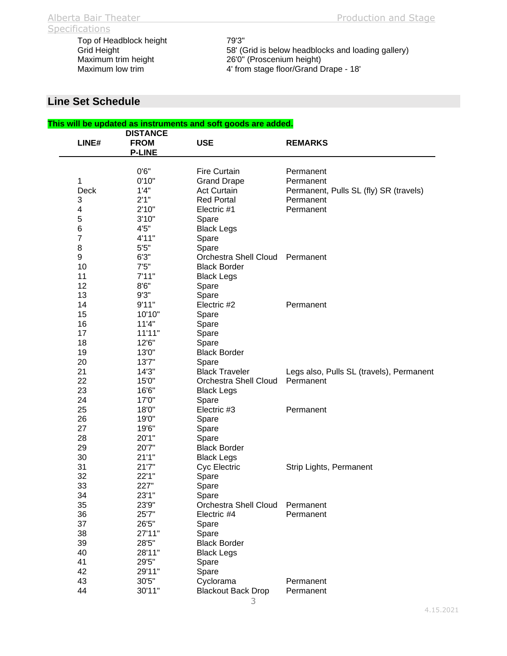Grid Height <sup>58'</sup> (Grid is below headblocks and loading gallery)<br>Maximum trim height 26'0" (Proscenium height) Maximum trim height 26'0" (Proscenium height)<br>Maximum low trim 4' from stage floor/Grand D 4' from stage floor/Grand Drape - 18'

## **Line Set Schedule**

|                         |                 | This will be updated as instruments and soft goods are added. |                                          |
|-------------------------|-----------------|---------------------------------------------------------------|------------------------------------------|
|                         | <b>DISTANCE</b> |                                                               |                                          |
| LINE#                   | <b>FROM</b>     | <b>USE</b>                                                    | <b>REMARKS</b>                           |
|                         | <b>P-LINE</b>   |                                                               |                                          |
|                         |                 |                                                               |                                          |
|                         | 0'6''           | <b>Fire Curtain</b>                                           | Permanent                                |
| 1                       | 0'10"           | <b>Grand Drape</b>                                            | Permanent                                |
| <b>Deck</b>             | 1'4"            | <b>Act Curtain</b>                                            | Permanent, Pulls SL (fly) SR (travels)   |
| 3                       | 2'1"            | <b>Red Portal</b>                                             | Permanent                                |
| $\overline{\mathbf{4}}$ | 2'10"           | Electric #1                                                   | Permanent                                |
| $\mathbf 5$             | 3'10"           | Spare                                                         |                                          |
| $\,6$                   | 4'5''           | <b>Black Legs</b>                                             |                                          |
| $\overline{7}$          | 4'11"           | Spare                                                         |                                          |
| 8                       | 5'5"            | Spare                                                         |                                          |
| $\boldsymbol{9}$        | 6'3''           | Orchestra Shell Cloud                                         | Permanent                                |
| 10                      | 7'5''           | <b>Black Border</b>                                           |                                          |
| 11                      | 7'11"           | <b>Black Legs</b>                                             |                                          |
| 12                      | 8'6''           | Spare                                                         |                                          |
| 13                      | 9'3"            | Spare                                                         |                                          |
| 14                      | 9'11"           | Electric #2                                                   | Permanent                                |
| 15                      | 10'10"          |                                                               |                                          |
|                         |                 | Spare                                                         |                                          |
| 16                      | 11'4"           | Spare                                                         |                                          |
| 17                      | 11'11"          | Spare                                                         |                                          |
| 18                      | 12'6"           | Spare                                                         |                                          |
| 19                      | 13'0"           | <b>Black Border</b>                                           |                                          |
| 20                      | 13'7"           | Spare                                                         |                                          |
| 21                      | 14'3"           | <b>Black Traveler</b>                                         | Legs also, Pulls SL (travels), Permanent |
| 22                      | 15'0"           | <b>Orchestra Shell Cloud</b>                                  | Permanent                                |
| 23                      | 16'6"           | <b>Black Legs</b>                                             |                                          |
| 24                      | 17'0"           | Spare                                                         |                                          |
| 25                      | 18'0"           | Electric #3                                                   | Permanent                                |
| 26                      | 19'0"           | Spare                                                         |                                          |
| 27                      | 19'6"           | Spare                                                         |                                          |
| 28                      | 20'1"           | Spare                                                         |                                          |
| 29                      | 20'7"           | <b>Black Border</b>                                           |                                          |
| 30                      | 21'1''          | <b>Black Legs</b>                                             |                                          |
| 31                      | 21'7"           | Cyc Electric                                                  | Strip Lights, Permanent                  |
| 32                      | 22'1"           | Spare                                                         |                                          |
| 33                      | 227"            | Spare                                                         |                                          |
| 34                      | 23'1"           | Spare                                                         |                                          |
| 35                      | 23'9"           | <b>Orchestra Shell Cloud</b>                                  | Permanent                                |
| 36                      | 25'7"           | Electric #4                                                   | Permanent                                |
| 37                      | 26'5"           | Spare                                                         |                                          |
| 38                      | 27'11"          | Spare                                                         |                                          |
| 39                      | 28'5"           | <b>Black Border</b>                                           |                                          |
| 40                      | 28'11"          | <b>Black Legs</b>                                             |                                          |
| 41                      | 29'5"           | Spare                                                         |                                          |
| 42                      | 29'11"          | Spare                                                         |                                          |
| 43                      | 30'5"           | Cyclorama                                                     | Permanent                                |
| 44                      |                 |                                                               |                                          |
|                         | 30'11"          | <b>Blackout Back Drop</b>                                     | Permanent                                |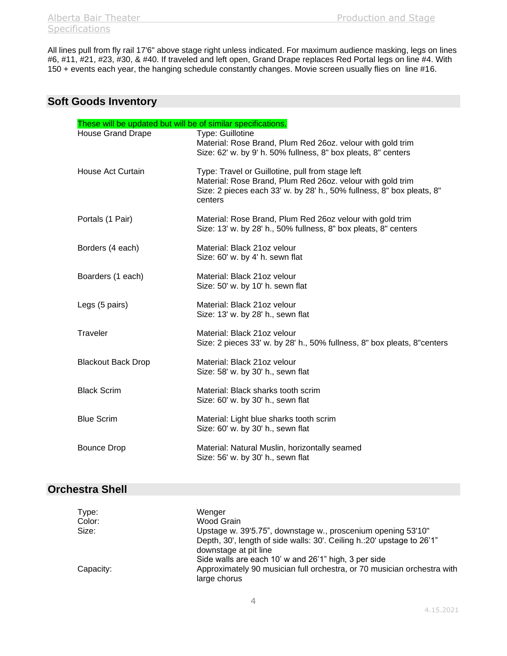All lines pull from fly rail 17'6" above stage right unless indicated. For maximum audience masking, legs on lines #6, #11, #21, #23, #30, & #40. If traveled and left open, Grand Drape replaces Red Portal legs on line #4. With 150 + events each year, the hanging schedule constantly changes. Movie screen usually flies on line #16.

#### **Soft Goods Inventory**

| These will be updated but will be of similar specifications. |                                                                                                                                                                                                    |
|--------------------------------------------------------------|----------------------------------------------------------------------------------------------------------------------------------------------------------------------------------------------------|
| <b>House Grand Drape</b>                                     | Type: Guillotine<br>Material: Rose Brand, Plum Red 26oz. velour with gold trim<br>Size: 62' w. by 9' h. 50% fullness, 8" box pleats, 8" centers                                                    |
| House Act Curtain                                            | Type: Travel or Guillotine, pull from stage left<br>Material: Rose Brand, Plum Red 26oz. velour with gold trim<br>Size: 2 pieces each 33' w. by 28' h., 50% fullness, 8" box pleats, 8"<br>centers |
| Portals (1 Pair)                                             | Material: Rose Brand, Plum Red 26oz velour with gold trim<br>Size: 13' w. by 28' h., 50% fullness, 8" box pleats, 8" centers                                                                       |
| Borders (4 each)                                             | Material: Black 21oz velour<br>Size: 60' w. by 4' h. sewn flat                                                                                                                                     |
| Boarders (1 each)                                            | Material: Black 21oz velour<br>Size: 50' w. by 10' h. sewn flat                                                                                                                                    |
| Legs (5 pairs)                                               | Material: Black 21oz velour<br>Size: 13' w. by 28' h., sewn flat                                                                                                                                   |
| Traveler                                                     | Material: Black 21oz velour<br>Size: 2 pieces 33' w. by 28' h., 50% fullness, 8" box pleats, 8" centers                                                                                            |
| <b>Blackout Back Drop</b>                                    | Material: Black 21oz velour<br>Size: 58' w. by 30' h., sewn flat                                                                                                                                   |
| <b>Black Scrim</b>                                           | Material: Black sharks tooth scrim<br>Size: 60' w. by 30' h., sewn flat                                                                                                                            |
| <b>Blue Scrim</b>                                            | Material: Light blue sharks tooth scrim<br>Size: 60' w. by 30' h., sewn flat                                                                                                                       |
| <b>Bounce Drop</b>                                           | Material: Natural Muslin, horizontally seamed<br>Size: 56' w. by 30' h., sewn flat                                                                                                                 |

## **Orchestra Shell**

| Type:     | Wenger                                                                                           |
|-----------|--------------------------------------------------------------------------------------------------|
| Color:    | Wood Grain                                                                                       |
| Size:     | Upstage w. 39'5.75", downstage w., proscenium opening 53'10"                                     |
|           | Depth, 30', length of side walls: 30'. Ceiling h.: 20' upstage to 26'1"<br>downstage at pit line |
|           | Side walls are each 10' w and 26'1" high, 3 per side                                             |
| Capacity: | Approximately 90 musician full orchestra, or 70 musician orchestra with<br>large chorus          |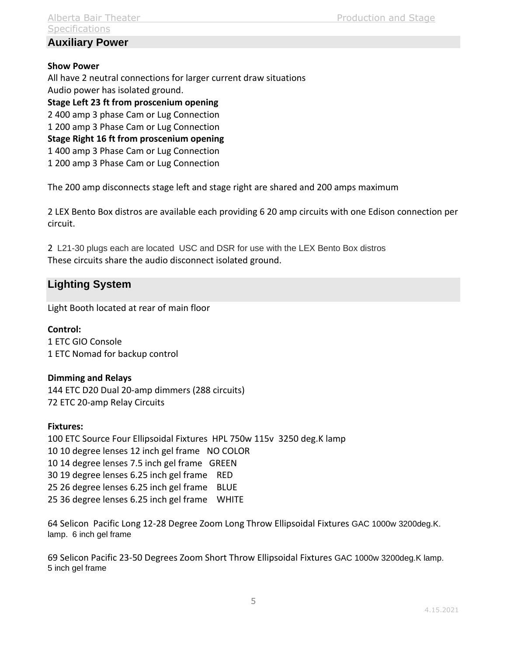## **Auxiliary Power**

#### **Show Power**

All have 2 neutral connections for larger current draw situations Audio power has isolated ground.

**Stage Left 23 ft from proscenium opening** 2 400 amp 3 phase Cam or Lug Connection 1 200 amp 3 Phase Cam or Lug Connection **Stage Right 16 ft from proscenium opening** 1 400 amp 3 Phase Cam or Lug Connection 1 200 amp 3 Phase Cam or Lug Connection

The 200 amp disconnects stage left and stage right are shared and 200 amps maximum

2 LEX Bento Box distros are available each providing 6 20 amp circuits with one Edison connection per circuit.

2 L21-30 plugs each are located USC and DSR for use with the LEX Bento Box distros These circuits share the audio disconnect isolated ground.

## **Lighting System**

Light Booth located at rear of main floor

**Control:** 1 ETC GIO Console 1 ETC Nomad for backup control

#### **Dimming and Relays**

144 ETC D20 Dual 20-amp dimmers (288 circuits) 72 ETC 20-amp Relay Circuits

#### **Fixtures:**

100 ETC Source Four Ellipsoidal Fixtures HPL 750w 115v 3250 deg.K lamp 10 10 degree lenses 12 inch gel frame NO COLOR 10 14 degree lenses 7.5 inch gel frame GREEN 30 19 degree lenses 6.25 inch gel frame RED 25 26 degree lenses 6.25 inch gel frame BLUE 25 36 degree lenses 6.25 inch gel frame WHITE

64 Selicon Pacific Long 12-28 Degree Zoom Long Throw Ellipsoidal Fixtures GAC 1000w 3200deg.K. lamp. 6 inch gel frame

69 Selicon Pacific 23-50 Degrees Zoom Short Throw Ellipsoidal Fixtures GAC 1000w 3200deg.K lamp. 5 inch gel frame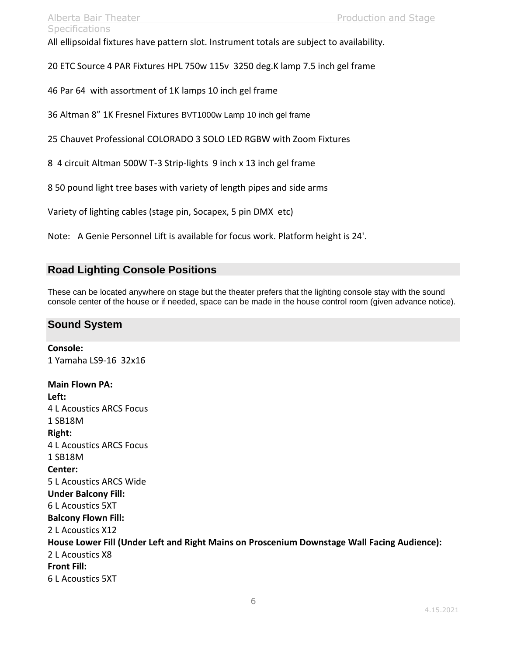All ellipsoidal fixtures have pattern slot. Instrument totals are subject to availability.

20 ETC Source 4 PAR Fixtures HPL 750w 115v 3250 deg.K lamp 7.5 inch gel frame

46 Par 64 with assortment of 1K lamps 10 inch gel frame

36 Altman 8" 1K Fresnel Fixtures BVT1000w Lamp 10 inch gel frame

25 Chauvet Professional COLORADO 3 SOLO LED RGBW with Zoom Fixtures

8 4 circuit Altman 500W T-3 Strip-lights 9 inch x 13 inch gel frame

8 50 pound light tree bases with variety of length pipes and side arms

Variety of lighting cables (stage pin, Socapex, 5 pin DMX etc)

Note: A Genie Personnel Lift is available for focus work. Platform height is 24'.

#### **Road Lighting Console Positions**

These can be located anywhere on stage but the theater prefers that the lighting console stay with the sound console center of the house or if needed, space can be made in the house control room (given advance notice).

### **Sound System**

**Console:** 1 Yamaha LS9-16 32x16 **Main Flown PA: Left:** 4 L Acoustics ARCS Focus 1 SB18M **Right:** 4 L Acoustics ARCS Focus 1 SB18M **Center:** 5 L Acoustics ARCS Wide **Under Balcony Fill:** 6 L Acoustics 5XT **Balcony Flown Fill:** 2 L Acoustics X12 **House Lower Fill (Under Left and Right Mains on Proscenium Downstage Wall Facing Audience):** 2 L Acoustics X8 **Front Fill:** 6 L Acoustics 5XT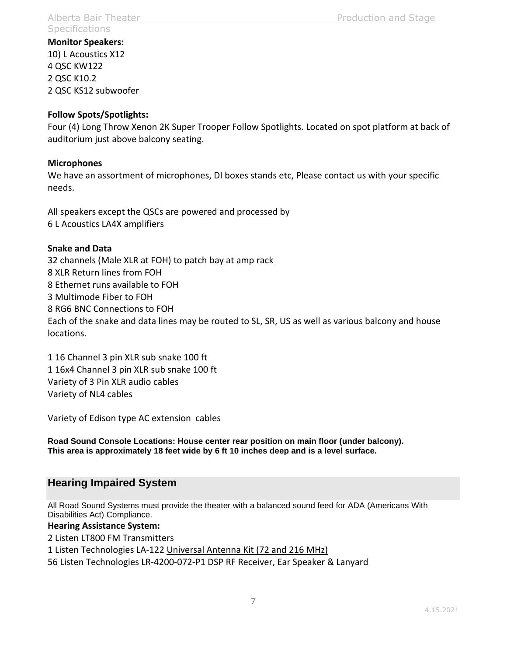**Monitor Speakers:** 10) L Acoustics X12 4 QSC KW122 2 QSC K10.2 2 QSC KS12 subwoofer

#### **Follow Spots/Spotlights:**

Four (4) Long Throw Xenon 2K Super Trooper Follow Spotlights. Located on spot platform at back of auditorium just above balcony seating.

#### **Microphones**

We have an assortment of microphones, DI boxes stands etc, Please contact us with your specific needs.

All speakers except the QSCs are powered and processed by 6 L Acoustics LA4X amplifiers

#### **Snake and Data**

32 channels (Male XLR at FOH) to patch bay at amp rack 8 XLR Return lines from FOH 8 Ethernet runs available to FOH 3 Multimode Fiber to FOH 8 RG6 BNC Connections to FOH Each of the snake and data lines may be routed to SL, SR, US as well as various balcony and house locations.

1 16 Channel 3 pin XLR sub snake 100 ft 1 16x4 Channel 3 pin XLR sub snake 100 ft Variety of 3 Pin XLR audio cables Variety of NL4 cables

Variety of Edison type AC extension cables

**Road Sound Console Locations: House center rear position on main floor (under balcony). This area is approximately 18 feet wide by 6 ft 10 inches deep and is a level surface.**

## **Hearing Impaired System**

All Road Sound Systems must provide the theater with a balanced sound feed for ADA (Americans With Disabilities Act) Compliance.

#### **Hearing Assistance System:**

2 Listen LT800 FM Transmitters

1 Listen Technologies LA-122 [Universal Antenna Kit \(72 and 216 MHz\)](https://www.listentech.com/shop/product/universal-antenna-kit-72-and-216-mhz/)

56 Listen Technologies LR-4200-072-P1 DSP RF Receiver, Ear Speaker & Lanyard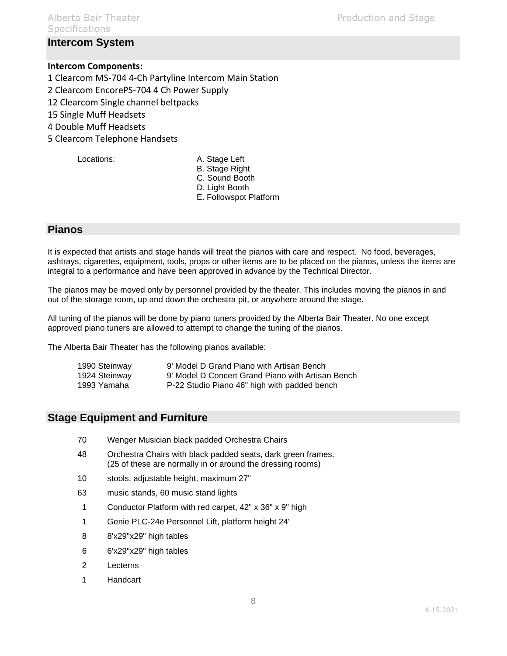# **Specifications**

## **Intercom System**

#### **Intercom Components:**

1 Clearcom MS-704 4-Ch Partyline Intercom Main Station

- 2 Clearcom EncorePS-704 4 Ch Power Supply
- 12 Clearcom Single channel beltpacks
- 15 Single Muff Headsets
- 4 Double Muff Headsets
- 5 Clearcom Telephone Handsets

- Locations: A. Stage Left
	- B. Stage Right
	- C. Sound Booth
	- D. Light Booth
	- E. Followspot Platform

## **Pianos**

It is expected that artists and stage hands will treat the pianos with care and respect. No food, beverages, ashtrays, cigarettes, equipment, tools, props or other items are to be placed on the pianos, unless the items are integral to a performance and have been approved in advance by the Technical Director.

The pianos may be moved only by personnel provided by the theater. This includes moving the pianos in and out of the storage room, up and down the orchestra pit, or anywhere around the stage.

All tuning of the pianos will be done by piano tuners provided by the Alberta Bair Theater. No one except approved piano tuners are allowed to attempt to change the tuning of the pianos.

The Alberta Bair Theater has the following pianos available:

| 1990 Steinway | 9' Model D Grand Piano with Artisan Bench         |
|---------------|---------------------------------------------------|
| 1924 Steinway | 9' Model D Concert Grand Piano with Artisan Bench |
| 1993 Yamaha   | P-22 Studio Piano 46" high with padded bench      |

## **Stage Equipment and Furniture**

- 70 Wenger Musician black padded Orchestra Chairs
- 48 Orchestra Chairs with black padded seats, dark green frames. (25 of these are normally in or around the dressing rooms)
- 10 stools, adjustable height, maximum 27"
- 63 music stands, 60 music stand lights
- 1 Conductor Platform with red carpet, 42" x 36" x 9" high
- 1 Genie PLC-24e Personnel Lift, platform height 24'
- 8 8'x29"x29" high tables
- 6 6'x29"x29" high tables
- 2 Lecterns
- 1 Handcart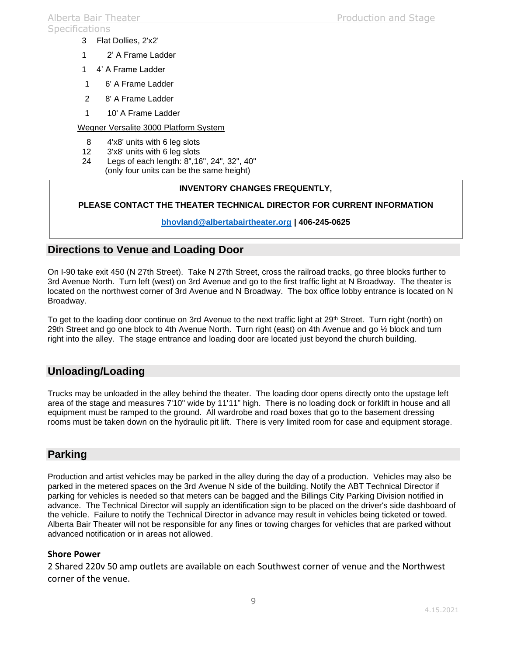#### **Specifications**

- 3 Flat Dollies, 2'x2'
- 1 2' A Frame Ladder
- 1 4' A Frame Ladder
- 1 6' A Frame Ladder
- 2 8' A Frame Ladder
- 1 10' A Frame Ladder

## Wegner Versalite 3000 Platform System

- 8 4'x8' units with 6 leg slots
- 12 3'x8' units with 6 leg slots
- 24 Legs of each length: 8",16", 24", 32", 40" (only four units can be the same height)

## **INVENTORY CHANGES FREQUENTLY,**

## **PLEASE CONTACT THE THEATER TECHNICAL DIRECTOR FOR CURRENT INFORMATION**

## **[bhovland@albertabairtheater.org](mailto:bhovland@albertabairtheater.org) | 406-245-0625**

# **Directions to Venue and Loading Door**

On I-90 take exit 450 (N 27th Street). Take N 27th Street, cross the railroad tracks, go three blocks further to 3rd Avenue North. Turn left (west) on 3rd Avenue and go to the first traffic light at N Broadway. The theater is located on the northwest corner of 3rd Avenue and N Broadway. The box office lobby entrance is located on N Broadway.

To get to the loading door continue on 3rd Avenue to the next traffic light at 29<sup>th</sup> Street. Turn right (north) on 29th Street and go one block to 4th Avenue North. Turn right (east) on 4th Avenue and go ½ block and turn right into the alley. The stage entrance and loading door are located just beyond the church building.

# **Unloading/Loading**

Trucks may be unloaded in the alley behind the theater. The loading door opens directly onto the upstage left area of the stage and measures 7'10" wide by 11'11" high. There is no loading dock or forklift in house and all equipment must be ramped to the ground. All wardrobe and road boxes that go to the basement dressing rooms must be taken down on the hydraulic pit lift. There is very limited room for case and equipment storage.

# **Parking**

Production and artist vehicles may be parked in the alley during the day of a production. Vehicles may also be parked in the metered spaces on the 3rd Avenue N side of the building. Notify the ABT Technical Director if parking for vehicles is needed so that meters can be bagged and the Billings City Parking Division notified in advance. The Technical Director will supply an identification sign to be placed on the driver's side dashboard of the vehicle. Failure to notify the Technical Director in advance may result in vehicles being ticketed or towed. Alberta Bair Theater will not be responsible for any fines or towing charges for vehicles that are parked without advanced notification or in areas not allowed.

## **Shore Power**

2 Shared 220v 50 amp outlets are available on each Southwest corner of venue and the Northwest corner of the venue.